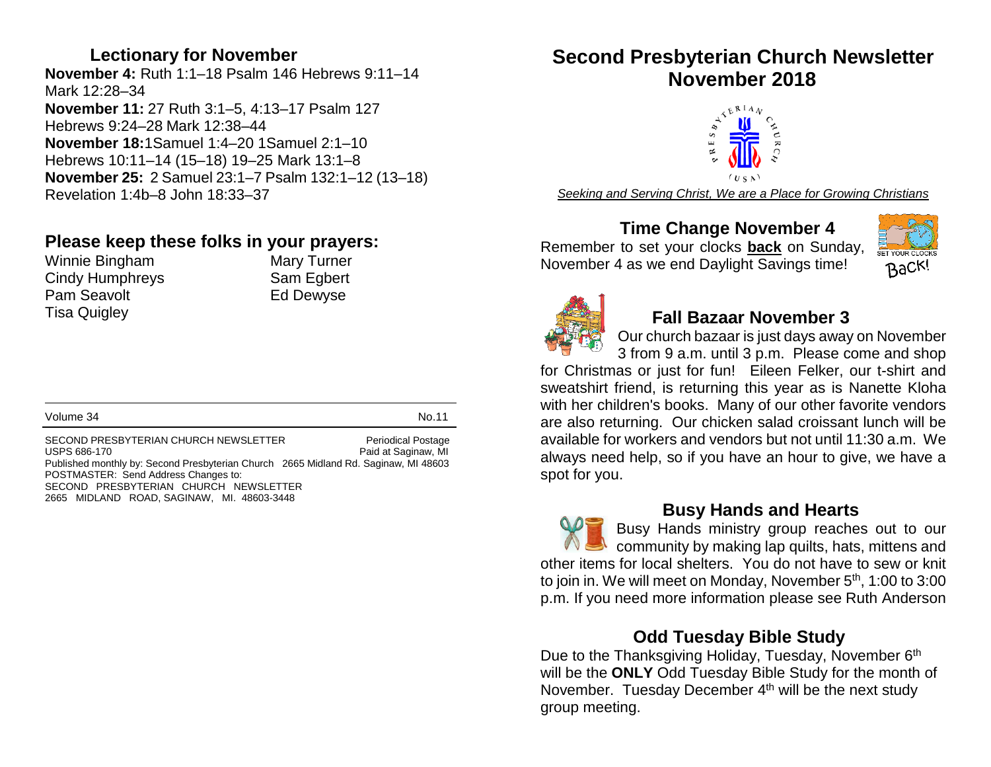#### **Lectionary for November**

**November 4:** Ruth 1:1–18 Psalm 146 Hebrews 9:11–14 Mark 12:28–34 **November 11:** 27 Ruth 3:1–5, 4:13–17 Psalm 127 Hebrews 9:24–28 Mark 12:38–44 **November 18:**1Samuel 1:4–20 1Samuel 2:1–10 Hebrews 10:11–14 (15–18) 19–25 Mark 13:1–8 **November 25:** 2 Samuel 23:1–7 Psalm 132:1–12 (13–18) Revelation 1:4b–8 John 18:33–37

# **Please keep these folks in your prayers:**<br>Winnie Bingham Mary Turner

Winnie Bingham Cindy Humphreys Sam Egbert Pam Seavolt **Ed Dewyse** Tisa Quigley

Volume 34 No.11

SECOND PRESBYTERIAN CHURCH NEWSLETTER Periodical Postage<br>USPS 686-170 Paid at Saginaw. MI Paid at Saginaw, MI Published monthly by: Second Presbyterian Church 2665 Midland Rd. Saginaw, MI 48603 POSTMASTER: Send Address Changes to: SECOND PRESBYTERIAN CHURCH NEWSLETTER 2665 MIDLAND ROAD, SAGINAW, MI. 48603-3448

# **Second Presbyterian Church Newsletter November 2018**



*Seeking and Serving Christ, We are a Place for Growing Christians*

# **Time Change November 4**

Remember to set your clocks **back** on Sunday, November 4 as we end Daylight Savings time!





#### **Fall Bazaar November 3**

Our church bazaar is just days away on November

3 from 9 a.m. until 3 p.m. Please come and shop for Christmas or just for fun! Eileen Felker, our t-shirt and sweatshirt friend, is returning this year as is Nanette Kloha with her children's books. Many of our other favorite vendors are also returning. Our chicken salad croissant lunch will be available for workers and vendors but not until 11:30 a.m. We always need help, so if you have an hour to give, we have a spot for you.

 **Busy Hands and Hearts** Busy Hands ministry group reaches out to our community by making lap quilts, hats, mittens and other items for local shelters. You do not have to sew or knit to join in. We will meet on Monday, November 5<sup>th</sup>, 1:00 to 3:00 p.m. If you need more information please see Ruth Anderson

# **Odd Tuesday Bible Study**

Due to the Thanksgiving Holiday, Tuesday, November 6<sup>th</sup> will be the **ONLY** Odd Tuesday Bible Study for the month of November. Tuesday December 4<sup>th</sup> will be the next study group meeting.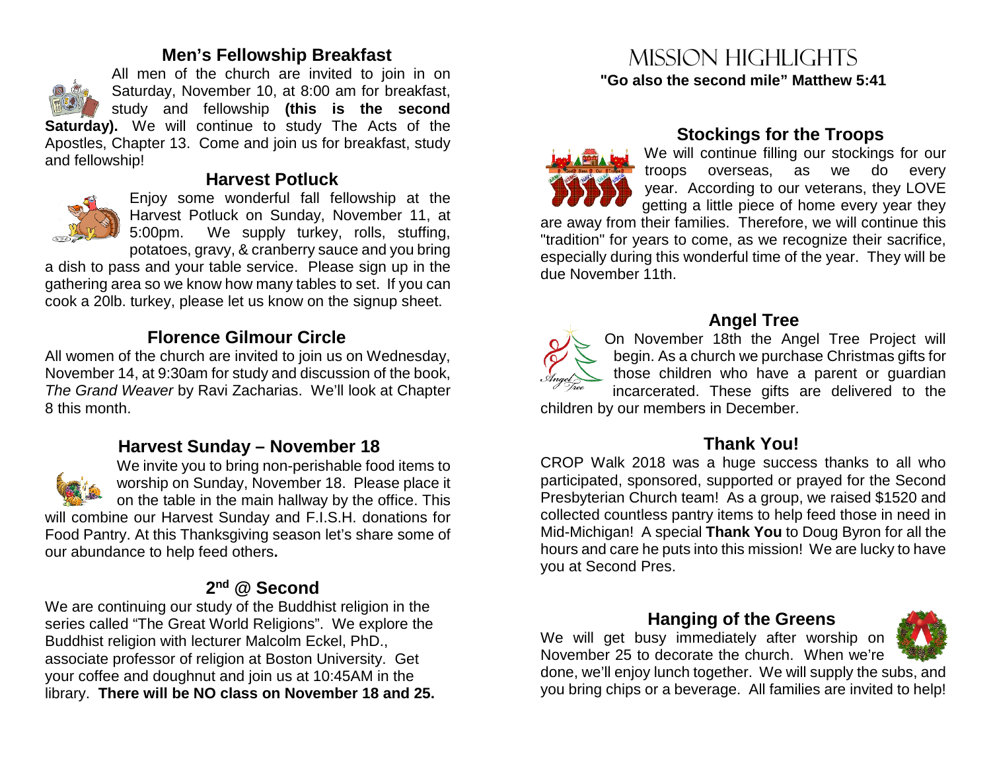#### **Men's Fellowship Breakfast**

All men of the church are invited to join in on Saturday, November 10, at 8:00 am for breakfast, study and fellowship **(this is the second Saturday).** We will continue to study The Acts of the

Apostles, Chapter 13. Come and join us for breakfast, study and fellowship!

# **Harvest Potluck**



Enjoy some wonderful fall fellowship at the Harvest Potluck on Sunday, November 11, at 5:00pm. We supply turkey, rolls, stuffing, potatoes, gravy, & cranberry sauce and you bring

a dish to pass and your table service. Please sign up in the gathering area so we know how many tables to set. If you can cook a 20lb. turkey, please let us know on the signup sheet.

# **Florence Gilmour Circle**

All women of the church are invited to join us on Wednesday, November 14, at 9:30am for study and discussion of the book, *The Grand Weaver* by Ravi Zacharias. We'll look at Chapter 8 this month.

#### **Harvest Sunday – November 18**



We invite you to bring non-perishable food items to worship on Sunday, November 18. Please place it on the table in the main hallway by the office. This will combine our Harvest Sunday and F.I.S.H. donations for Food Pantry. At this Thanksgiving season let's share some of

our abundance to help feed others**.** 

# **2nd @ Second**

We are continuing our study of the Buddhist religion in the series called "The Great World Religions". We explore the Buddhist religion with lecturer Malcolm Eckel, PhD., associate professor of religion at Boston University. Get your coffee and doughnut and join us at 10:45AM in the library. **There will be NO class on November 18 and 25.**

# Mission highlights **"Go also the second mile" Matthew 5:41**



# **Stockings for the Troops**

We will continue filling our stockings for our troops overseas, as we do every year. According to our veterans, they LOVE getting a little piece of home every year they are away from their families. Therefore, we will continue this "tradition" for years to come, as we recognize their sacrifice, especially during this wonderful time of the year. They will be due November 11th.



# **Angel Tree**

On November 18th the Angel Tree Project will begin. As a church we purchase Christmas gifts for those children who have a parent or guardian incarcerated. These gifts are delivered to the children by our members in December.

# **Thank You!**

CROP Walk 2018 was a huge success thanks to all who participated, sponsored, supported or prayed for the Second Presbyterian Church team! As a group, we raised \$1520 and collected countless pantry items to help feed those in need in Mid-Michigan! A special **Thank You** to Doug Byron for all the hours and care he puts into this mission! We are lucky to have you at Second Pres.

#### **Hanging of the Greens**

We will get busy immediately after worship on November 25 to decorate the church. When we're

done, we'll enjoy lunch together. We will supply the subs, and you bring chips or a beverage. All families are invited to help!

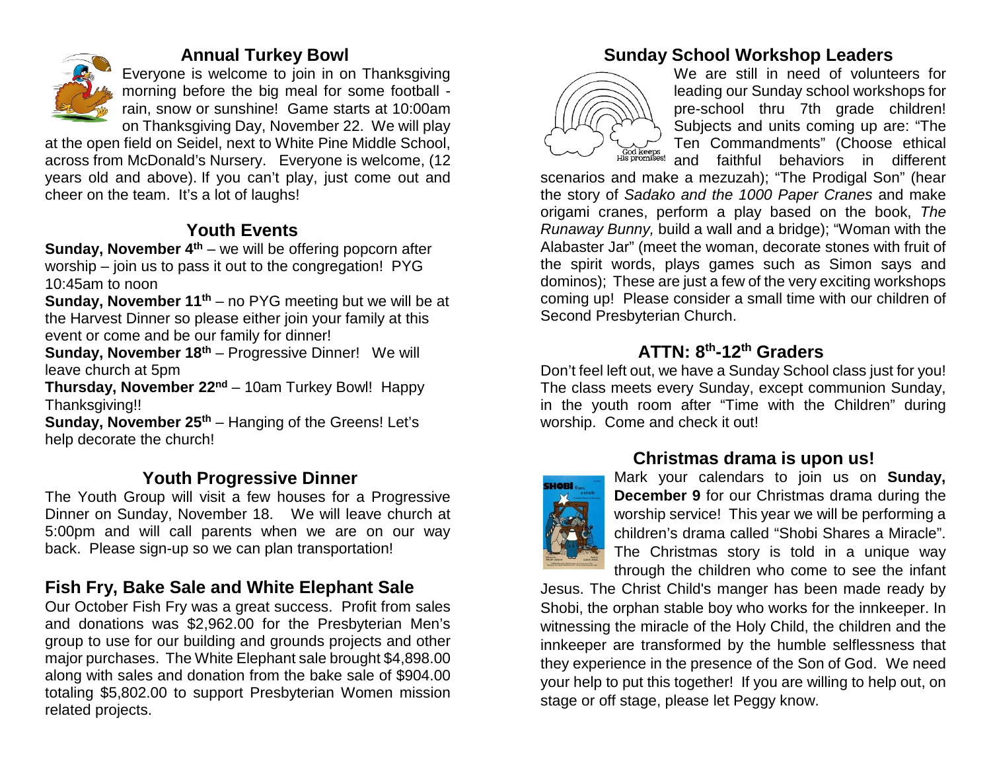

#### **Annual Turkey Bowl**

Everyone is welcome to join in on Thanksgiving morning before the big meal for some football rain, snow or sunshine! Game starts at 10:00am on Thanksgiving Day, November 22. We will play

at the open field on Seidel, next to White Pine Middle School, across from McDonald's Nursery. Everyone is welcome, (12 years old and above). If you can't play, just come out and cheer on the team. It's a lot of laughs!

# **Youth Events**

**Sunday, November 4<sup>th</sup>** – we will be offering popcorn after worship – join us to pass it out to the congregation! PYG 10:45am to noon

**Sunday, November 11<sup>th</sup>** – no PYG meeting but we will be at the Harvest Dinner so please either join your family at this event or come and be our family for dinner!

**Sunday, November 18th** – Progressive Dinner! We will leave church at 5pm

**Thursday, November 22nd** – 10am Turkey Bowl! Happy Thanksgiving!!

**Sunday, November 25<sup>th</sup>** – Hanging of the Greens! Let's help decorate the church!

# **Youth Progressive Dinner**

The Youth Group will visit a few houses for a Progressive Dinner on Sunday, November 18. We will leave church at 5:00pm and will call parents when we are on our way back. Please sign-up so we can plan transportation!

# **Fish Fry, Bake Sale and White Elephant Sale**

Our October Fish Fry was a great success. Profit from sales and donations was \$2,962.00 for the Presbyterian Men's group to use for our building and grounds projects and other major purchases. The White Elephant sale brought \$4,898.00 along with sales and donation from the bake sale of \$904.00 totaling \$5,802.00 to support Presbyterian Women mission related projects.

# **Sunday School Workshop Leaders**



We are still in need of volunteers for leading our Sunday school workshops for pre-school thru 7th grade children! Subjects and units coming up are: "The Ten Commandments" (Choose ethical and faithful behaviors in different

scenarios and make a mezuzah); "The Prodigal Son" (hear the story of *Sadako and the 1000 Paper Cranes* and make origami cranes, perform a play based on the book, *The Runaway Bunny,* build a wall and a bridge); "Woman with the Alabaster Jar" (meet the woman, decorate stones with fruit of the spirit words, plays games such as Simon says and dominos); These are just a few of the very exciting workshops coming up! Please consider a small time with our children of Second Presbyterian Church.

# **ATTN: 8th-12th Graders**

Don't feel left out, we have a Sunday School class just for you! The class meets every Sunday, except communion Sunday, in the youth room after "Time with the Children" during worship. Come and check it out!

#### **Christmas drama is upon us!**



Mark your calendars to join us on **Sunday, December 9** for our Christmas drama during the worship service! This year we will be performing a children's drama called "Shobi Shares a Miracle". The Christmas story is told in a unique way through the children who come to see the infant

Jesus. The Christ Child's manger has been made ready by Shobi, the orphan stable boy who works for the innkeeper. In witnessing the miracle of the Holy Child, the children and the innkeeper are transformed by the humble selflessness that they experience in the presence of the Son of God.We need your help to put this together! If you are willing to help out, on stage or off stage, please let Peggy know.